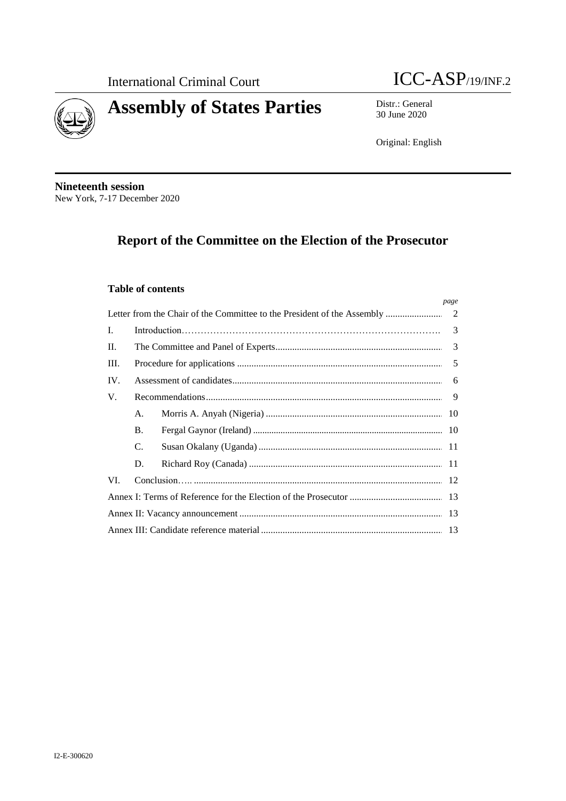



Distr.: General 30 June 2020

Original: English

**Nineteenth session** New York, 7-17 December 2020

# Report of the Committee on the Election of the Prosecutor

### **Table of contents**

|                                                                              |           |  | page |  |  |  |
|------------------------------------------------------------------------------|-----------|--|------|--|--|--|
| Letter from the Chair of the Committee to the President of the Assembly<br>2 |           |  |      |  |  |  |
| L.                                                                           | 3         |  |      |  |  |  |
| П.                                                                           |           |  |      |  |  |  |
| III.                                                                         |           |  |      |  |  |  |
| IV.                                                                          |           |  |      |  |  |  |
| V.                                                                           |           |  |      |  |  |  |
|                                                                              | A.        |  |      |  |  |  |
|                                                                              | <b>B.</b> |  |      |  |  |  |
|                                                                              | C.        |  |      |  |  |  |
|                                                                              | D.        |  |      |  |  |  |
| VI.                                                                          |           |  |      |  |  |  |
|                                                                              |           |  |      |  |  |  |
|                                                                              |           |  |      |  |  |  |
|                                                                              |           |  |      |  |  |  |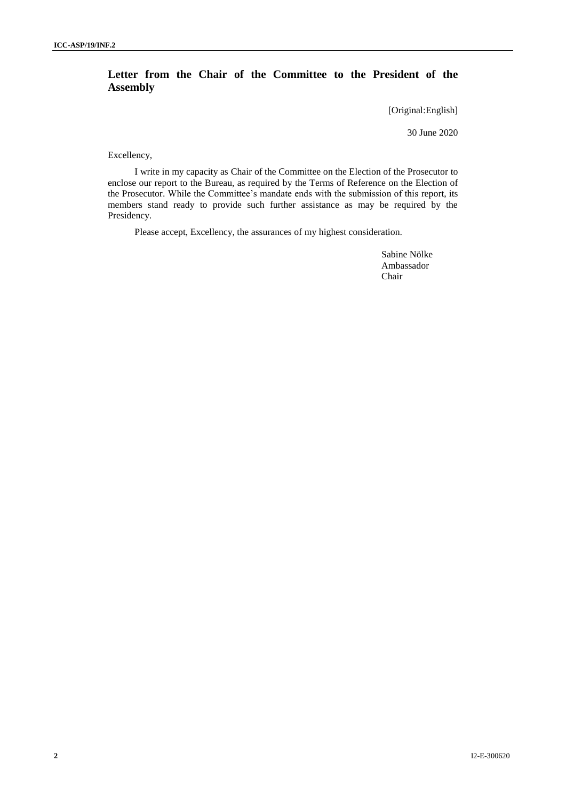## **Letter from the Chair of the Committee to the President of the Assembly**

[Original:English]

30 June 2020

Excellency,

I write in my capacity as Chair of the Committee on the Election of the Prosecutor to enclose our report to the Bureau, as required by the Terms of Reference on the Election of the Prosecutor. While the Committee's mandate ends with the submission of this report, its members stand ready to provide such further assistance as may be required by the Presidency.

Please accept, Excellency, the assurances of my highest consideration.

Sabine Nölke Ambassador Chair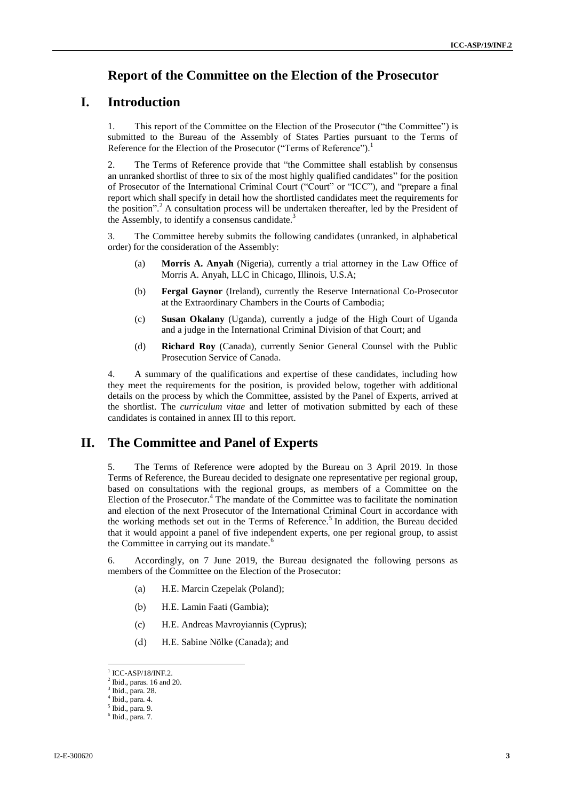## **Report of the Committee on the Election of the Prosecutor**

## **I. Introduction**

1. This report of the Committee on the Election of the Prosecutor ("the Committee") is submitted to the Bureau of the Assembly of States Parties pursuant to the Terms of Reference for the Election of the Prosecutor ("Terms of Reference").<sup>1</sup>

2. The Terms of Reference provide that "the Committee shall establish by consensus an unranked shortlist of three to six of the most highly qualified candidates" for the position of Prosecutor of the International Criminal Court ("Court" or "ICC"), and "prepare a final report which shall specify in detail how the shortlisted candidates meet the requirements for the position".<sup>2</sup> A consultation process will be undertaken thereafter, led by the President of the Assembly, to identify a consensus candidate. $3$ 

3. The Committee hereby submits the following candidates (unranked, in alphabetical order) for the consideration of the Assembly:

- (a) **Morris A. Anyah** (Nigeria), currently a trial attorney in the Law Office of Morris A. Anyah, LLC in Chicago, Illinois, U.S.A;
- (b) **Fergal Gaynor** (Ireland), currently the Reserve International Co-Prosecutor at the Extraordinary Chambers in the Courts of Cambodia;
- (c) **Susan Okalany** (Uganda), currently a judge of the High Court of Uganda and a judge in the International Criminal Division of that Court; and
- (d) **Richard Roy** (Canada), currently Senior General Counsel with the Public Prosecution Service of Canada.

4. A summary of the qualifications and expertise of these candidates, including how they meet the requirements for the position, is provided below, together with additional details on the process by which the Committee, assisted by the Panel of Experts, arrived at the shortlist. The *curriculum vitae* and letter of motivation submitted by each of these candidates is contained in annex III to this report.

## **II. The Committee and Panel of Experts**

5. The Terms of Reference were adopted by the Bureau on 3 April 2019. In those Terms of Reference, the Bureau decided to designate one representative per regional group, based on consultations with the regional groups, as members of a Committee on the Election of the Prosecutor.<sup>4</sup> The mandate of the Committee was to facilitate the nomination and election of the next Prosecutor of the International Criminal Court in accordance with the working methods set out in the Terms of Reference.<sup>5</sup> In addition, the Bureau decided that it would appoint a panel of five independent experts, one per regional group, to assist the Committee in carrying out its mandate.<sup>6</sup>

6. Accordingly, on 7 June 2019, the Bureau designated the following persons as members of the Committee on the Election of the Prosecutor:

- (a) H.E. Marcin Czepelak (Poland);
- (b) H.E. Lamin Faati (Gambia);
- (c) H.E. Andreas Mavroyiannis (Cyprus);
- (d) H.E. Sabine Nölke (Canada); and

 $1$  ICC-ASP/18/INF.2.

 $2$  Ibid., paras. 16 and 20.

<sup>3</sup> Ibid., para. 28.

<sup>4</sup> Ibid., para. 4. 5 Ibid., para. 9.

 $6$  Ibid., para. 7.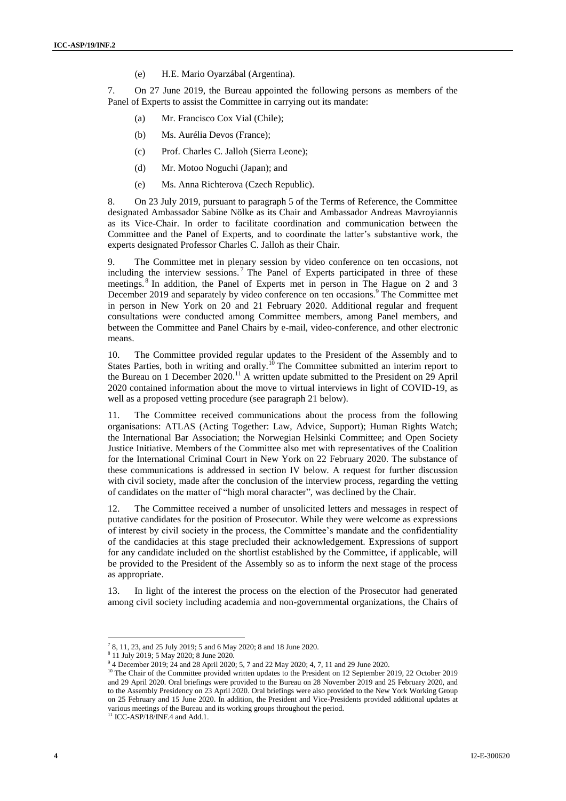(e) H.E. Mario Oyarzábal (Argentina).

7. On 27 June 2019, the Bureau appointed the following persons as members of the Panel of Experts to assist the Committee in carrying out its mandate:

- (a) Mr. Francisco Cox Vial (Chile);
- (b) Ms. Aurélia Devos (France);
- (c) Prof. Charles C. Jalloh (Sierra Leone);
- (d) Mr. Motoo Noguchi (Japan); and
- (e) Ms. Anna Richterova (Czech Republic).

8. On 23 July 2019, pursuant to paragraph 5 of the Terms of Reference, the Committee designated Ambassador Sabine Nölke as its Chair and Ambassador Andreas Mavroyiannis as its Vice-Chair. In order to facilitate coordination and communication between the Committee and the Panel of Experts, and to coordinate the latter's substantive work, the experts designated Professor Charles C. Jalloh as their Chair.

9. The Committee met in plenary session by video conference on ten occasions, not including the interview sessions.<sup>7</sup> The Panel of Experts participated in three of these meetings. <sup>8</sup> In addition, the Panel of Experts met in person in The Hague on 2 and 3 December 2019 and separately by video conference on ten occasions.<sup>9</sup> The Committee met in person in New York on 20 and 21 February 2020. Additional regular and frequent consultations were conducted among Committee members, among Panel members, and between the Committee and Panel Chairs by e-mail, video-conference, and other electronic means.

10. The Committee provided regular updates to the President of the Assembly and to States Parties, both in writing and orally.<sup>10</sup> The Committee submitted an interim report to the Bureau on 1 December  $2020$ .<sup>11</sup> A written update submitted to the President on 29 April 2020 contained information about the move to virtual interviews in light of COVID-19, as well as a proposed vetting procedure (see paragraph 21 below).

11. The Committee received communications about the process from the following organisations: ATLAS (Acting Together: Law, Advice, Support); Human Rights Watch; the International Bar Association; the Norwegian Helsinki Committee; and Open Society Justice Initiative. Members of the Committee also met with representatives of the Coalition for the International Criminal Court in New York on 22 February 2020. The substance of these communications is addressed in section IV below. A request for further discussion with civil society, made after the conclusion of the interview process, regarding the vetting of candidates on the matter of "high moral character", was declined by the Chair.

12. The Committee received a number of unsolicited letters and messages in respect of putative candidates for the position of Prosecutor. While they were welcome as expressions of interest by civil society in the process, the Committee's mandate and the confidentiality of the candidacies at this stage precluded their acknowledgement. Expressions of support for any candidate included on the shortlist established by the Committee, if applicable, will be provided to the President of the Assembly so as to inform the next stage of the process as appropriate.

13. In light of the interest the process on the election of the Prosecutor had generated among civil society including academia and non-governmental organizations, the Chairs of

<sup>7</sup> 8, 11, 23, and 25 July 2019; 5 and 6 May 2020; 8 and 18 June 2020.

<sup>8</sup> 11 July 2019; 5 May 2020; 8 June 2020.

<sup>&</sup>lt;sup>9</sup> 4 December 2019; 24 and 28 April 2020; 5, 7 and 22 May 2020; 4, 7, 11 and 29 June 2020.

<sup>&</sup>lt;sup>10</sup> The Chair of the Committee provided written updates to the President on 12 September 2019, 22 October 2019 and 29 April 2020. Oral briefings were provided to the Bureau on 28 November 2019 and 25 February 2020, and to the Assembly Presidency on 23 April 2020. Oral briefings were also provided to the New York Working Group on 25 February and 15 June 2020. In addition, the President and Vice-Presidents provided additional updates at various meetings of the Bureau and its working groups throughout the period.

 $11$  ICC-ASP/18/INF.4 and Add.1.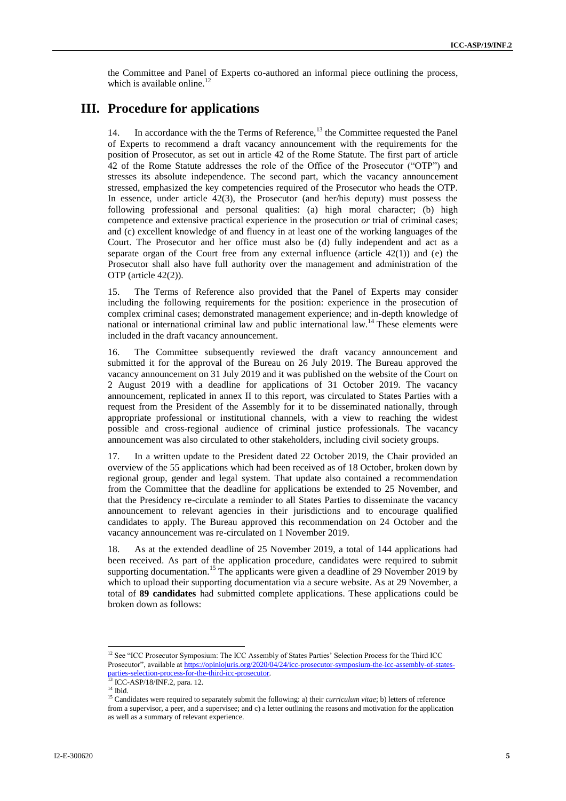the Committee and Panel of Experts co-authored an informal piece outlining the process, which is available online. $^{12}$ 

## **III. Procedure for applications**

14. In accordance with the the Terms of Reference,<sup>13</sup> the Committee requested the Panel of Experts to recommend a draft vacancy announcement with the requirements for the position of Prosecutor, as set out in article 42 of the Rome Statute. The first part of article 42 of the Rome Statute addresses the role of the Office of the Prosecutor ("OTP") and stresses its absolute independence. The second part, which the vacancy announcement stressed, emphasized the key competencies required of the Prosecutor who heads the OTP. In essence, under article 42(3), the Prosecutor (and her/his deputy) must possess the following professional and personal qualities: (a) high moral character; (b) high competence and extensive practical experience in the prosecution *or* trial of criminal cases; and (c) excellent knowledge of and fluency in at least one of the working languages of the Court. The Prosecutor and her office must also be (d) fully independent and act as a separate organ of the Court free from any external influence (article  $42(1)$ ) and (e) the Prosecutor shall also have full authority over the management and administration of the OTP (article 42(2)).

15. The Terms of Reference also provided that the Panel of Experts may consider including the following requirements for the position: experience in the prosecution of complex criminal cases; demonstrated management experience; and in-depth knowledge of national or international criminal law and public international law.<sup>14</sup> These elements were included in the draft vacancy announcement.

16. The Committee subsequently reviewed the draft vacancy announcement and submitted it for the approval of the Bureau on 26 July 2019. The Bureau approved the vacancy announcement on 31 July 2019 and it was published on the website of the Court on 2 August 2019 with a deadline for applications of 31 October 2019. The vacancy announcement, replicated in annex II to this report, was circulated to States Parties with a request from the President of the Assembly for it to be disseminated nationally, through appropriate professional or institutional channels, with a view to reaching the widest possible and cross-regional audience of criminal justice professionals. The vacancy announcement was also circulated to other stakeholders, including civil society groups.

17. In a written update to the President dated 22 October 2019, the Chair provided an overview of the 55 applications which had been received as of 18 October, broken down by regional group, gender and legal system. That update also contained a recommendation from the Committee that the deadline for applications be extended to 25 November, and that the Presidency re-circulate a reminder to all States Parties to disseminate the vacancy announcement to relevant agencies in their jurisdictions and to encourage qualified candidates to apply. The Bureau approved this recommendation on 24 October and the vacancy announcement was re-circulated on 1 November 2019.

18. As at the extended deadline of 25 November 2019, a total of 144 applications had been received. As part of the application procedure, candidates were required to submit supporting documentation.<sup>15</sup> The applicants were given a deadline of 29 November 2019 by which to upload their supporting documentation via a secure website. As at 29 November, a total of **89 candidates** had submitted complete applications. These applications could be broken down as follows:

<sup>&</sup>lt;sup>12</sup> See "ICC Prosecutor Symposium: The ICC Assembly of States Parties' Selection Process for the Third ICC Prosecutor", available at [https://opiniojuris.org/2020/04/24/icc-prosecutor-symposium-the-icc-assembly-of-states](https://opiniojuris.org/2020/04/24/icc-prosecutor-symposium-the-icc-assembly-of-states-parties-selection-process-for-the-third-icc-prosecutor)[parties-selection-process-for-the-third-icc-prosecutor.](https://opiniojuris.org/2020/04/24/icc-prosecutor-symposium-the-icc-assembly-of-states-parties-selection-process-for-the-third-icc-prosecutor)

<sup>&</sup>lt;sup>13</sup> ICC-ASP/18/INF.2, para. 12.

 $^{14}$  Ibid.

<sup>&</sup>lt;sup>15</sup> Candidates were required to separately submit the following: a) their *curriculum vitae*; b) letters of reference from a supervisor, a peer, and a supervisee; and c) a letter outlining the reasons and motivation for the application as well as a summary of relevant experience.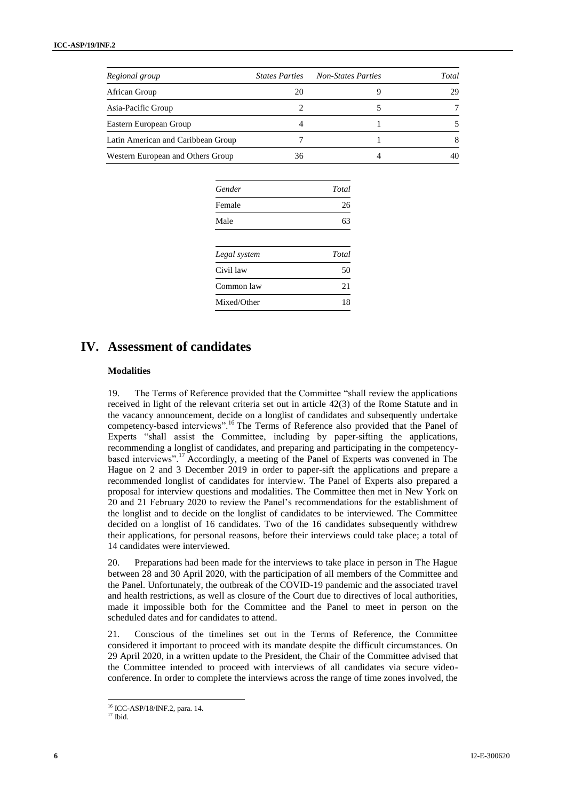| Regional group                     | <b>States Parties</b> | <b>Non-States Parties</b> | Total |
|------------------------------------|-----------------------|---------------------------|-------|
| African Group                      | 20                    |                           | 29    |
| Asia-Pacific Group                 |                       |                           |       |
| Eastern European Group             |                       |                           |       |
| Latin American and Caribbean Group |                       |                           |       |
| Western European and Others Group  | 36                    |                           |       |

| Gender       | Total |
|--------------|-------|
| Female       | 26    |
| Male         | 63    |
| Legal system | Total |
| Civil law    | 50    |
| Common law   | 21    |
| Mixed/Other  | 18    |

# **IV. Assessment of candidates**

### **Modalities**

19. The Terms of Reference provided that the Committee "shall review the applications received in light of the relevant criteria set out in article 42(3) of the Rome Statute and in the vacancy announcement, decide on a longlist of candidates and subsequently undertake competency-based interviews".<sup>16</sup> The Terms of Reference also provided that the Panel of Experts "shall assist the Committee, including by paper-sifting the applications, recommending a longlist of candidates, and preparing and participating in the competencybased interviews".<sup>17</sup> Accordingly, a meeting of the Panel of Experts was convened in The Hague on 2 and 3 December 2019 in order to paper-sift the applications and prepare a recommended longlist of candidates for interview. The Panel of Experts also prepared a proposal for interview questions and modalities. The Committee then met in New York on 20 and 21 February 2020 to review the Panel's recommendations for the establishment of the longlist and to decide on the longlist of candidates to be interviewed. The Committee decided on a longlist of 16 candidates. Two of the 16 candidates subsequently withdrew their applications, for personal reasons, before their interviews could take place; a total of 14 candidates were interviewed.

20. Preparations had been made for the interviews to take place in person in The Hague between 28 and 30 April 2020, with the participation of all members of the Committee and the Panel. Unfortunately, the outbreak of the COVID-19 pandemic and the associated travel and health restrictions, as well as closure of the Court due to directives of local authorities, made it impossible both for the Committee and the Panel to meet in person on the scheduled dates and for candidates to attend.

21. Conscious of the timelines set out in the Terms of Reference, the Committee considered it important to proceed with its mandate despite the difficult circumstances. On 29 April 2020, in a written update to the President, the Chair of the Committee advised that the Committee intended to proceed with interviews of all candidates via secure videoconference. In order to complete the interviews across the range of time zones involved, the

<sup>16</sup> ICC-ASP/18/INF.2, para. 14.

 $17$  Ibid.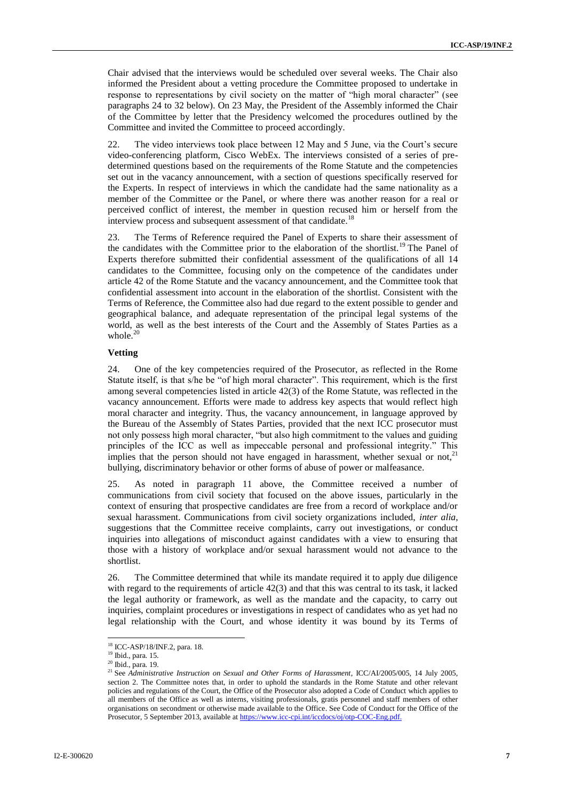Chair advised that the interviews would be scheduled over several weeks. The Chair also informed the President about a vetting procedure the Committee proposed to undertake in response to representations by civil society on the matter of "high moral character" (see paragraphs 24 to 32 below). On 23 May, the President of the Assembly informed the Chair of the Committee by letter that the Presidency welcomed the procedures outlined by the Committee and invited the Committee to proceed accordingly.

22. The video interviews took place between 12 May and 5 June, via the Court's secure video-conferencing platform, Cisco WebEx. The interviews consisted of a series of predetermined questions based on the requirements of the Rome Statute and the competencies set out in the vacancy announcement, with a section of questions specifically reserved for the Experts. In respect of interviews in which the candidate had the same nationality as a member of the Committee or the Panel, or where there was another reason for a real or perceived conflict of interest, the member in question recused him or herself from the interview process and subsequent assessment of that candidate.<sup>18</sup>

23. The Terms of Reference required the Panel of Experts to share their assessment of the candidates with the Committee prior to the elaboration of the shortlist.<sup>19</sup> The Panel of Experts therefore submitted their confidential assessment of the qualifications of all 14 candidates to the Committee, focusing only on the competence of the candidates under article 42 of the Rome Statute and the vacancy announcement, and the Committee took that confidential assessment into account in the elaboration of the shortlist. Consistent with the Terms of Reference, the Committee also had due regard to the extent possible to gender and geographical balance, and adequate representation of the principal legal systems of the world, as well as the best interests of the Court and the Assembly of States Parties as a whole.<sup>20</sup>

### **Vetting**

24. One of the key competencies required of the Prosecutor, as reflected in the Rome Statute itself, is that s/he be "of high moral character". This requirement, which is the first among several competencies listed in article 42(3) of the Rome Statute, was reflected in the vacancy announcement. Efforts were made to address key aspects that would reflect high moral character and integrity. Thus, the vacancy announcement, in language approved by the Bureau of the Assembly of States Parties, provided that the next ICC prosecutor must not only possess high moral character, "but also high commitment to the values and guiding principles of the ICC as well as impeccable personal and professional integrity." This implies that the person should not have engaged in harassment, whether sexual or not, $^{21}$ bullying, discriminatory behavior or other forms of abuse of power or malfeasance.

25. As noted in paragraph 11 above, the Committee received a number of communications from civil society that focused on the above issues, particularly in the context of ensuring that prospective candidates are free from a record of workplace and/or sexual harassment. Communications from civil society organizations included, *inter alia*, suggestions that the Committee receive complaints, carry out investigations, or conduct inquiries into allegations of misconduct against candidates with a view to ensuring that those with a history of workplace and/or sexual harassment would not advance to the shortlist.

26. The Committee determined that while its mandate required it to apply due diligence with regard to the requirements of article 42(3) and that this was central to its task, it lacked the legal authority or framework, as well as the mandate and the capacity, to carry out inquiries, complaint procedures or investigations in respect of candidates who as yet had no legal relationship with the Court, and whose identity it was bound by its Terms of

<sup>18</sup> ICC-ASP/18/INF.2, para. 18.

<sup>19</sup> Ibid., para. 15.

<sup>20</sup> Ibid., para. 19.

<sup>&</sup>lt;sup>21</sup> See *Administrative Instruction on Sexual and Other Forms of Harassment*, ICC/AI/2005/005, 14 July 2005, section 2. The Committee notes that, in order to uphold the standards in the Rome Statute and other relevant policies and regulations of the Court, the Office of the Prosecutor also adopted a Code of Conduct which applies to all members of the Office as well as interns, visiting professionals, gratis personnel and staff members of other organisations on secondment or otherwise made available to the Office. See Code of Conduct for the Office of the Prosecutor, 5 September 2013, available a[t https://www.icc-cpi.int/iccdocs/oj/otp-COC-Eng.pdf.](https://www.icc-cpi.int/iccdocs/oj/otp-COC-Eng.pdf)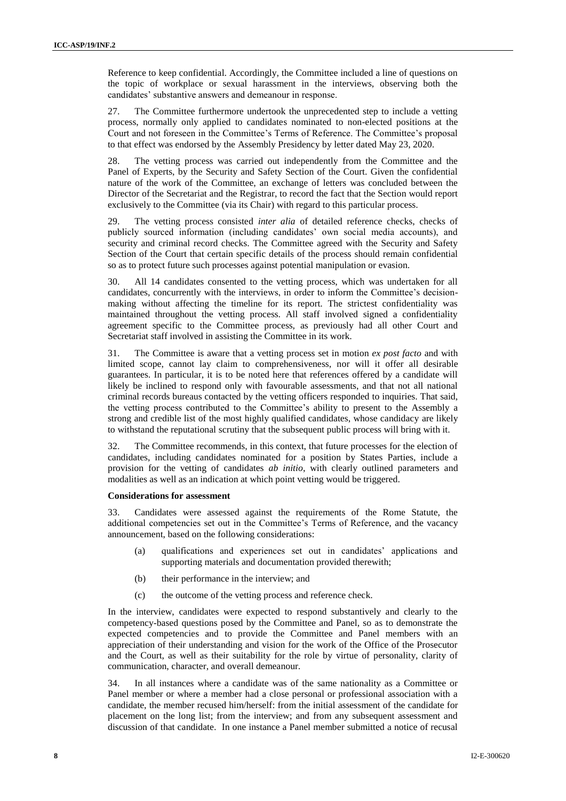Reference to keep confidential. Accordingly, the Committee included a line of questions on the topic of workplace or sexual harassment in the interviews, observing both the candidates' substantive answers and demeanour in response.

27. The Committee furthermore undertook the unprecedented step to include a vetting process, normally only applied to candidates nominated to non-elected positions at the Court and not foreseen in the Committee's Terms of Reference. The Committee's proposal to that effect was endorsed by the Assembly Presidency by letter dated May 23, 2020.

28. The vetting process was carried out independently from the Committee and the Panel of Experts, by the Security and Safety Section of the Court. Given the confidential nature of the work of the Committee, an exchange of letters was concluded between the Director of the Secretariat and the Registrar, to record the fact that the Section would report exclusively to the Committee (via its Chair) with regard to this particular process.

29. The vetting process consisted *inter alia* of detailed reference checks, checks of publicly sourced information (including candidates' own social media accounts), and security and criminal record checks. The Committee agreed with the Security and Safety Section of the Court that certain specific details of the process should remain confidential so as to protect future such processes against potential manipulation or evasion.

30. All 14 candidates consented to the vetting process, which was undertaken for all candidates, concurrently with the interviews, in order to inform the Committee's decisionmaking without affecting the timeline for its report. The strictest confidentiality was maintained throughout the vetting process. All staff involved signed a confidentiality agreement specific to the Committee process, as previously had all other Court and Secretariat staff involved in assisting the Committee in its work.

31. The Committee is aware that a vetting process set in motion *ex post facto* and with limited scope, cannot lay claim to comprehensiveness, nor will it offer all desirable guarantees. In particular, it is to be noted here that references offered by a candidate will likely be inclined to respond only with favourable assessments, and that not all national criminal records bureaus contacted by the vetting officers responded to inquiries. That said, the vetting process contributed to the Committee's ability to present to the Assembly a strong and credible list of the most highly qualified candidates, whose candidacy are likely to withstand the reputational scrutiny that the subsequent public process will bring with it.

32. The Committee recommends, in this context, that future processes for the election of candidates, including candidates nominated for a position by States Parties, include a provision for the vetting of candidates *ab initio*, with clearly outlined parameters and modalities as well as an indication at which point vetting would be triggered.

#### **Considerations for assessment**

33. Candidates were assessed against the requirements of the Rome Statute, the additional competencies set out in the Committee's Terms of Reference, and the vacancy announcement, based on the following considerations:

- (a) qualifications and experiences set out in candidates' applications and supporting materials and documentation provided therewith;
- (b) their performance in the interview; and
- (c) the outcome of the vetting process and reference check.

In the interview, candidates were expected to respond substantively and clearly to the competency-based questions posed by the Committee and Panel, so as to demonstrate the expected competencies and to provide the Committee and Panel members with an appreciation of their understanding and vision for the work of the Office of the Prosecutor and the Court, as well as their suitability for the role by virtue of personality, clarity of communication, character, and overall demeanour.

34. In all instances where a candidate was of the same nationality as a Committee or Panel member or where a member had a close personal or professional association with a candidate, the member recused him/herself: from the initial assessment of the candidate for placement on the long list; from the interview; and from any subsequent assessment and discussion of that candidate. In one instance a Panel member submitted a notice of recusal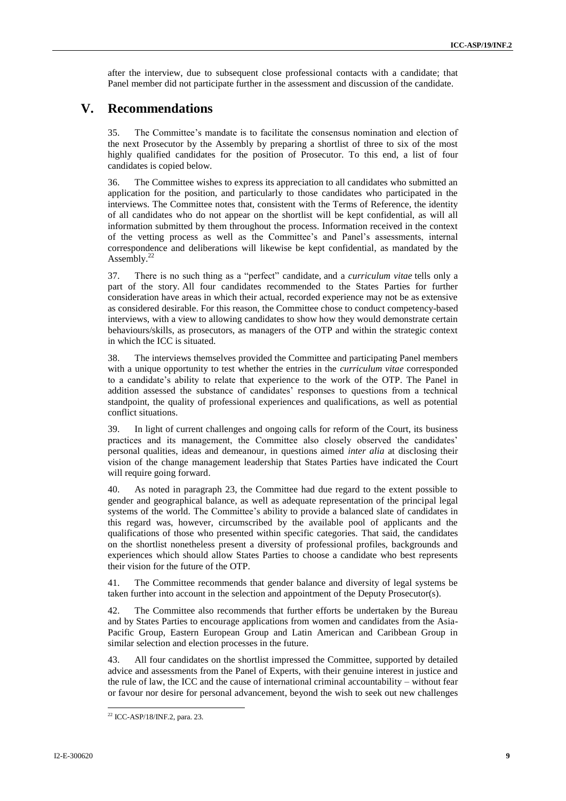after the interview, due to subsequent close professional contacts with a candidate; that Panel member did not participate further in the assessment and discussion of the candidate.

## **V. Recommendations**

35. The Committee's mandate is to facilitate the consensus nomination and election of the next Prosecutor by the Assembly by preparing a shortlist of three to six of the most highly qualified candidates for the position of Prosecutor. To this end, a list of four candidates is copied below.

36. The Committee wishes to express its appreciation to all candidates who submitted an application for the position, and particularly to those candidates who participated in the interviews. The Committee notes that, consistent with the Terms of Reference, the identity of all candidates who do not appear on the shortlist will be kept confidential, as will all information submitted by them throughout the process. Information received in the context of the vetting process as well as the Committee's and Panel's assessments, internal correspondence and deliberations will likewise be kept confidential, as mandated by the Assembly.<sup>22</sup>

37. There is no such thing as a "perfect" candidate, and a *curriculum vitae* tells only a part of the story. All four candidates recommended to the States Parties for further consideration have areas in which their actual, recorded experience may not be as extensive as considered desirable. For this reason, the Committee chose to conduct competency-based interviews, with a view to allowing candidates to show how they would demonstrate certain behaviours/skills, as prosecutors, as managers of the OTP and within the strategic context in which the ICC is situated.

38. The interviews themselves provided the Committee and participating Panel members with a unique opportunity to test whether the entries in the *curriculum vitae* corresponded to a candidate's ability to relate that experience to the work of the OTP. The Panel in addition assessed the substance of candidates' responses to questions from a technical standpoint, the quality of professional experiences and qualifications, as well as potential conflict situations.

39. In light of current challenges and ongoing calls for reform of the Court, its business practices and its management, the Committee also closely observed the candidates' personal qualities, ideas and demeanour, in questions aimed *inter alia* at disclosing their vision of the change management leadership that States Parties have indicated the Court will require going forward.

40. As noted in paragraph 23, the Committee had due regard to the extent possible to gender and geographical balance, as well as adequate representation of the principal legal systems of the world. The Committee's ability to provide a balanced slate of candidates in this regard was, however, circumscribed by the available pool of applicants and the qualifications of those who presented within specific categories. That said, the candidates on the shortlist nonetheless present a diversity of professional profiles, backgrounds and experiences which should allow States Parties to choose a candidate who best represents their vision for the future of the OTP.

41. The Committee recommends that gender balance and diversity of legal systems be taken further into account in the selection and appointment of the Deputy Prosecutor(s).

42. The Committee also recommends that further efforts be undertaken by the Bureau and by States Parties to encourage applications from women and candidates from the Asia-Pacific Group, Eastern European Group and Latin American and Caribbean Group in similar selection and election processes in the future.

43. All four candidates on the shortlist impressed the Committee, supported by detailed advice and assessments from the Panel of Experts, with their genuine interest in justice and the rule of law, the ICC and the cause of international criminal accountability – without fear or favour nor desire for personal advancement, beyond the wish to seek out new challenges

l

<sup>&</sup>lt;sup>22</sup> ICC-ASP/18/INF.2, para. 23.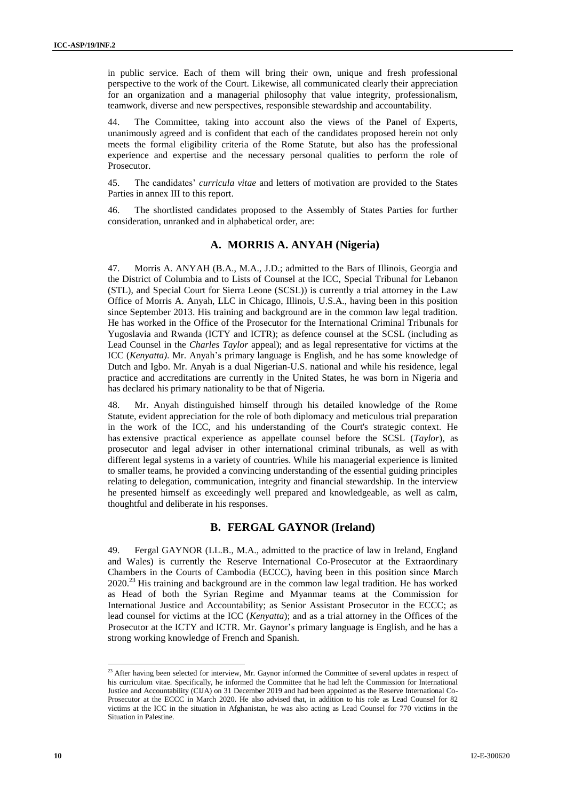in public service. Each of them will bring their own, unique and fresh professional perspective to the work of the Court. Likewise, all communicated clearly their appreciation for an organization and a managerial philosophy that value integrity, professionalism, teamwork, diverse and new perspectives, responsible stewardship and accountability.

44. The Committee, taking into account also the views of the Panel of Experts, unanimously agreed and is confident that each of the candidates proposed herein not only meets the formal eligibility criteria of the Rome Statute, but also has the professional experience and expertise and the necessary personal qualities to perform the role of Prosecutor.

45. The candidates' *curricula vitae* and letters of motivation are provided to the States Parties in annex III to this report.

46. The shortlisted candidates proposed to the Assembly of States Parties for further consideration, unranked and in alphabetical order, are:

### **A. MORRIS A. ANYAH (Nigeria)**

47. Morris A. ANYAH (B.A., M.A., J.D.; admitted to the Bars of Illinois, Georgia and the District of Columbia and to Lists of Counsel at the ICC, Special Tribunal for Lebanon (STL), and Special Court for Sierra Leone (SCSL)) is currently a trial attorney in the Law Office of Morris A. Anyah, LLC in Chicago, Illinois, U.S.A., having been in this position since September 2013. His training and background are in the common law legal tradition. He has worked in the Office of the Prosecutor for the International Criminal Tribunals for Yugoslavia and Rwanda (ICTY and ICTR); as defence counsel at the SCSL (including as Lead Counsel in the *Charles Taylor* appeal); and as legal representative for victims at the ICC (*Kenyatta)*. Mr. Anyah's primary language is English, and he has some knowledge of Dutch and Igbo. Mr. Anyah is a dual Nigerian-U.S. national and while his residence, legal practice and accreditations are currently in the United States, he was born in Nigeria and has declared his primary nationality to be that of Nigeria.

48. Mr. Anyah distinguished himself through his detailed knowledge of the Rome Statute, evident appreciation for the role of both diplomacy and meticulous trial preparation in the work of the ICC, and his understanding of the Court's strategic context. He has extensive practical experience as appellate counsel before the SCSL (*Taylor*), as prosecutor and legal adviser in other international criminal tribunals, as well as with different legal systems in a variety of countries. While his managerial experience is limited to smaller teams, he provided a convincing understanding of the essential guiding principles relating to delegation, communication, integrity and financial stewardship. In the interview he presented himself as exceedingly well prepared and knowledgeable, as well as calm, thoughtful and deliberate in his responses.

### **B. FERGAL GAYNOR (Ireland)**

49. Fergal GAYNOR (LL.B., M.A., admitted to the practice of law in Ireland, England and Wales) is currently the Reserve International Co-Prosecutor at the Extraordinary Chambers in the Courts of Cambodia (ECCC), having been in this position since March 2020.<sup>23</sup> His training and background are in the common law legal tradition. He has worked as Head of both the Syrian Regime and Myanmar teams at the Commission for International Justice and Accountability; as Senior Assistant Prosecutor in the ECCC; as lead counsel for victims at the ICC (*Kenyatta*); and as a trial attorney in the Offices of the Prosecutor at the ICTY and ICTR. Mr. Gaynor's primary language is English, and he has a strong working knowledge of French and Spanish.

 $2<sup>23</sup>$  After having been selected for interview, Mr. Gaynor informed the Committee of several updates in respect of his curriculum vitae. Specifically, he informed the Committee that he had left the Commission for International Justice and Accountability (CIJA) on 31 December 2019 and had been appointed as the Reserve International Co-Prosecutor at the ECCC in March 2020. He also advised that, in addition to his role as Lead Counsel for 82 victims at the ICC in the situation in Afghanistan, he was also acting as Lead Counsel for 770 victims in the Situation in Palestine.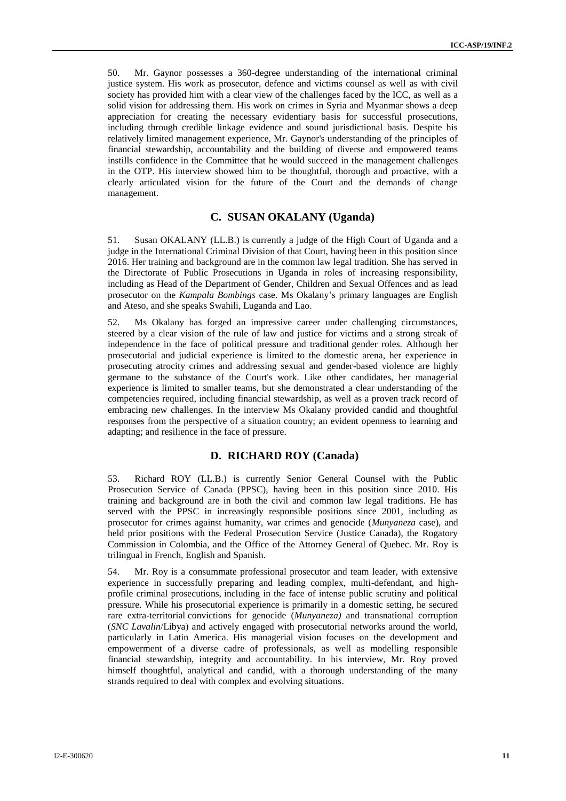50. Mr. Gaynor possesses a 360-degree understanding of the international criminal justice system. His work as prosecutor, defence and victims counsel as well as with civil society has provided him with a clear view of the challenges faced by the ICC, as well as a solid vision for addressing them. His work on crimes in Syria and Myanmar shows a deep appreciation for creating the necessary evidentiary basis for successful prosecutions, including through credible linkage evidence and sound jurisdictional basis. Despite his relatively limited management experience, Mr. Gaynor's understanding of the principles of financial stewardship, accountability and the building of diverse and empowered teams instills confidence in the Committee that he would succeed in the management challenges in the OTP. His interview showed him to be thoughtful, thorough and proactive, with a clearly articulated vision for the future of the Court and the demands of change management.

### **C. SUSAN OKALANY (Uganda)**

51. Susan OKALANY (LL.B.) is currently a judge of the High Court of Uganda and a judge in the International Criminal Division of that Court, having been in this position since 2016. Her training and background are in the common law legal tradition. She has served in the Directorate of Public Prosecutions in Uganda in roles of increasing responsibility, including as Head of the Department of Gender, Children and Sexual Offences and as lead prosecutor on the *Kampala Bombings* case. Ms Okalany's primary languages are English and Ateso, and she speaks Swahili, Luganda and Lao.

52. Ms Okalany has forged an impressive career under challenging circumstances, steered by a clear vision of the rule of law and justice for victims and a strong streak of independence in the face of political pressure and traditional gender roles. Although her prosecutorial and judicial experience is limited to the domestic arena, her experience in prosecuting atrocity crimes and addressing sexual and gender-based violence are highly germane to the substance of the Court's work. Like other candidates, her managerial experience is limited to smaller teams, but she demonstrated a clear understanding of the competencies required, including financial stewardship, as well as a proven track record of embracing new challenges. In the interview Ms Okalany provided candid and thoughtful responses from the perspective of a situation country; an evident openness to learning and adapting; and resilience in the face of pressure.

### **D. RICHARD ROY (Canada)**

53. Richard ROY (LL.B.) is currently Senior General Counsel with the Public Prosecution Service of Canada (PPSC), having been in this position since 2010. His training and background are in both the civil and common law legal traditions. He has served with the PPSC in increasingly responsible positions since 2001, including as prosecutor for crimes against humanity, war crimes and genocide (*Munyaneza* case), and held prior positions with the Federal Prosecution Service (Justice Canada), the Rogatory Commission in Colombia, and the Office of the Attorney General of Quebec. Mr. Roy is trilingual in French, English and Spanish.

54. Mr. Roy is a consummate professional prosecutor and team leader, with extensive experience in successfully preparing and leading complex, multi-defendant, and highprofile criminal prosecutions, including in the face of intense public scrutiny and political pressure. While his prosecutorial experience is primarily in a domestic setting, he secured rare extra-territorial convictions for genocide (*Munyaneza)* and transnational corruption (*SNC Lavalin*/Libya) and actively engaged with prosecutorial networks around the world, particularly in Latin America. His managerial vision focuses on the development and empowerment of a diverse cadre of professionals, as well as modelling responsible financial stewardship, integrity and accountability. In his interview, Mr. Roy proved himself thoughtful, analytical and candid, with a thorough understanding of the many strands required to deal with complex and evolving situations.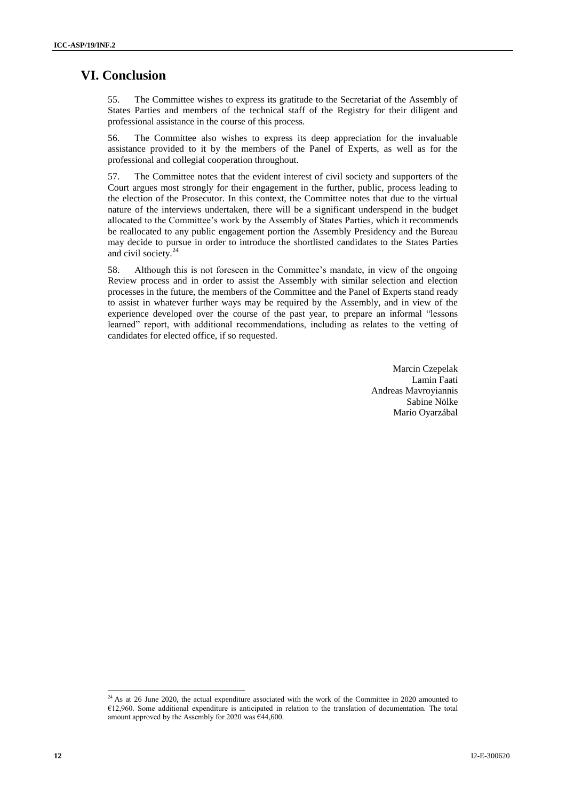# **VI. Conclusion**

55. The Committee wishes to express its gratitude to the Secretariat of the Assembly of States Parties and members of the technical staff of the Registry for their diligent and professional assistance in the course of this process.

56. The Committee also wishes to express its deep appreciation for the invaluable assistance provided to it by the members of the Panel of Experts, as well as for the professional and collegial cooperation throughout.

57. The Committee notes that the evident interest of civil society and supporters of the Court argues most strongly for their engagement in the further, public, process leading to the election of the Prosecutor. In this context, the Committee notes that due to the virtual nature of the interviews undertaken, there will be a significant underspend in the budget allocated to the Committee's work by the Assembly of States Parties, which it recommends be reallocated to any public engagement portion the Assembly Presidency and the Bureau may decide to pursue in order to introduce the shortlisted candidates to the States Parties and civil society. $24$ 

58. Although this is not foreseen in the Committee's mandate, in view of the ongoing Review process and in order to assist the Assembly with similar selection and election processes in the future, the members of the Committee and the Panel of Experts stand ready to assist in whatever further ways may be required by the Assembly, and in view of the experience developed over the course of the past year, to prepare an informal "lessons learned" report, with additional recommendations, including as relates to the vetting of candidates for elected office, if so requested.

> Marcin Czepelak Lamin Faati Andreas Mavroyiannis Sabine Nölke Mario Oyarzábal

l

 $^{24}$  As at 26 June 2020, the actual expenditure associated with the work of the Committee in 2020 amounted to €12,960. Some additional expenditure is anticipated in relation to the translation of documentation. The total amount approved by the Assembly for 2020 was  $€44,600$ .